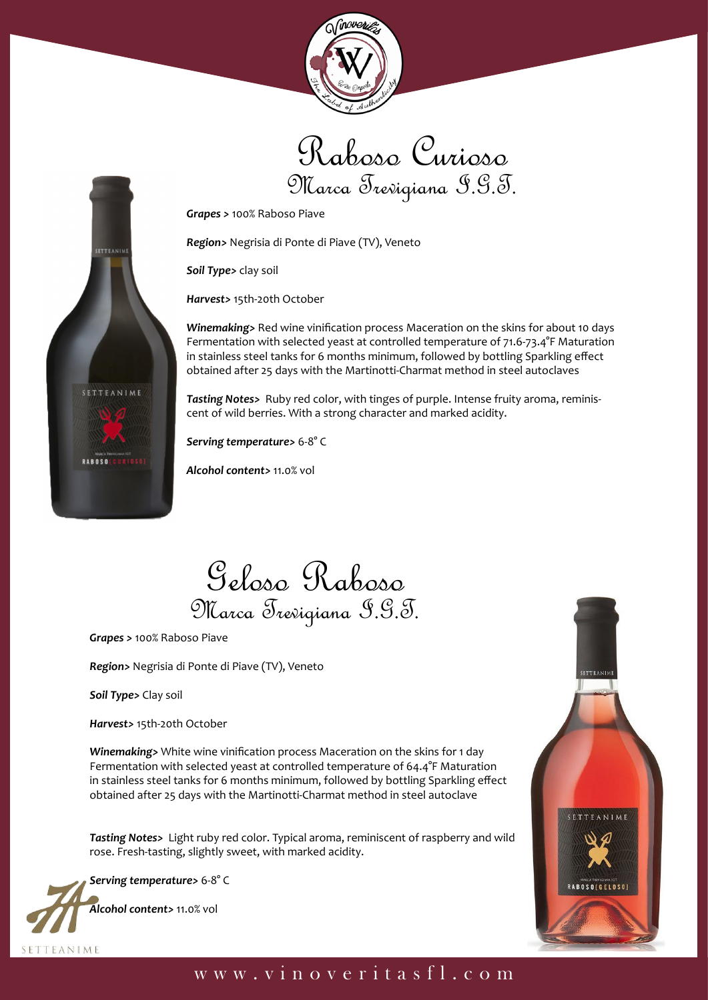



*Grapes >* 100% Raboso Piave

*Region>* Negrisia di Ponte di Piave (TV), Veneto

*Soil Type>* clay soil

*Harvest>* 15th-20th October

*Winemaking>* Red wine vinification process Maceration on the skins for about 10 days Fermentation with selected yeast at controlled temperature of 71.6-73.4°F Maturation in stainless steel tanks for 6 months minimum, followed by bottling Sparkling effect obtained after 25 days with the Martinotti-Charmat method in steel autoclaves

*Tasting Notes>* Ruby red color, with tinges of purple. Intense fruity aroma, reminiscent of wild berries. With a strong character and marked acidity.

*Serving temperature>* 6-8° C

*Alcohol content>* 11.0% vol

Geloso Raboso Marca Trevigiana I.G.T.

*Grapes >* 100% Raboso Piave

*Region>* Negrisia di Ponte di Piave (TV), Veneto

*Soil Type>* Clay soil

**SETTEANIM** 

TEANIME

RAROSO

*Harvest>* 15th-20th October

*Winemaking>* White wine vinification process Maceration on the skins for 1 day Fermentation with selected yeast at controlled temperature of 64.4°F Maturation in stainless steel tanks for 6 months minimum, followed by bottling Sparkling effect obtained after 25 days with the Martinotti-Charmat method in steel autoclave

*Tasting Notes>* Light ruby red color. Typical aroma, reminiscent of raspberry and wild rose. Fresh-tasting, slightly sweet, with marked acidity.

*Serving temperature>* 6-8° C

*Alcohol content>* 11.0% vol

SETTEANIME

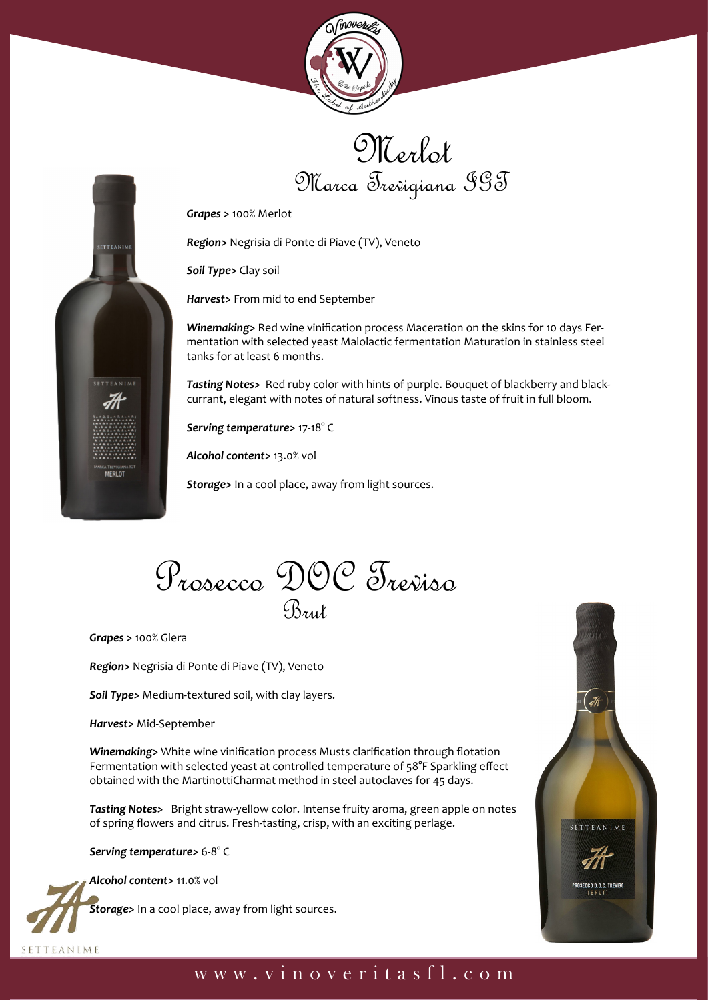





*Region>* Negrisia di Ponte di Piave (TV), Veneto

*Soil Type>* Clay soil

*Harvest>* From mid to end September

*Winemaking>* Red wine vinification process Maceration on the skins for 10 days Fermentation with selected yeast Malolactic fermentation Maturation in stainless steel tanks for at least 6 months.

*Tasting Notes>* Red ruby color with hints of purple. Bouquet of blackberry and blackcurrant, elegant with notes of natural softness. Vinous taste of fruit in full bloom.

*Serving temperature>* 17-18° C

*Alcohol content>* 13.0% vol

*Storage>* In a cool place, away from light sources.



*Grapes >* 100% Glera

**SETTEANIM** 

**ETTEANIME** 

MERLOT

*Region>* Negrisia di Ponte di Piave (TV), Veneto

*Soil Type>* Medium-textured soil, with clay layers.

*Harvest>* Mid-September

*Winemaking>* White wine vinification process Musts clarification through flotation Fermentation with selected yeast at controlled temperature of 58°F Sparkling effect obtained with the MartinottiCharmat method in steel autoclaves for 45 days.

*Tasting Notes>* Bright straw-yellow color. Intense fruity aroma, green apple on notes of spring flowers and citrus. Fresh-tasting, crisp, with an exciting perlage.

*Serving temperature>* 6-8° C

*Alcohol content>* 11.0% vol

SETTEANIME

*Storage>* In a cool place, away from light sources.

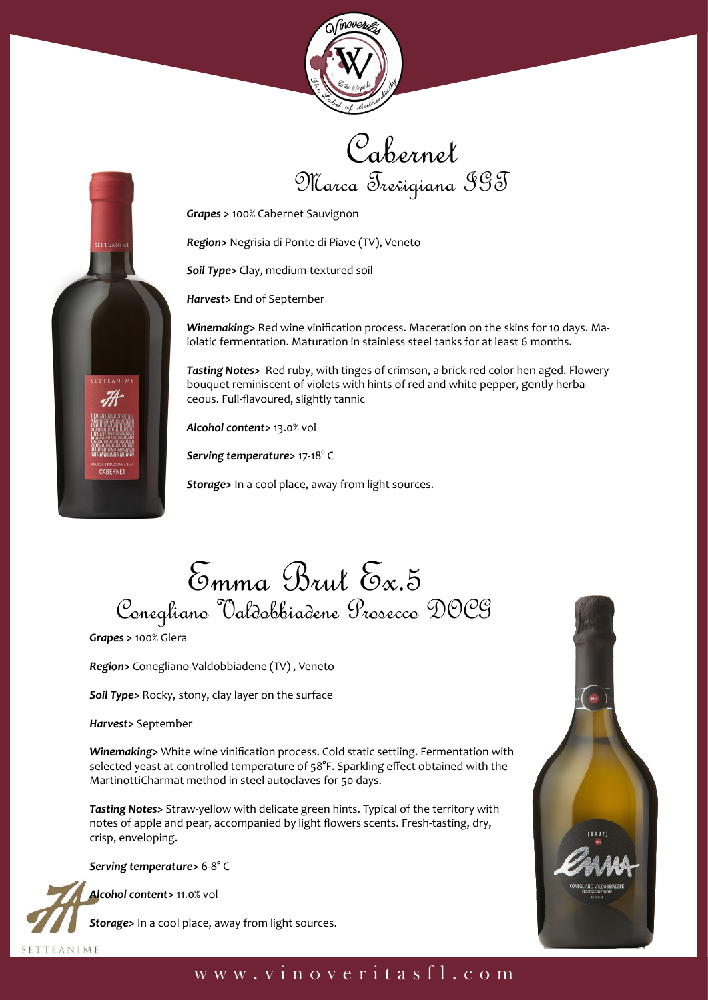



*Grapes >* 100% Cabernet Sauvignon

*Region>* Negrisia di Ponte di Piave (TV), Veneto

*Soil Type>* Clay, medium-textured soil

*Harvest>* End of September

*Winemaking>* Red wine vinification process. Maceration on the skins for 10 days. Malolatic fermentation. Maturation in stainless steel tanks for at least 6 months.

*Tasting Notes>* Red ruby, with tinges of crimson, a brick-red color hen aged. Flowery bouquet reminiscent of violets with hints of red and white pepper, gently herbaceous. Full-flavoured, slightly tannic

*Alcohol content>* 13.0% vol

*Serving temperature>* 17-18° C

*Storage>* In a cool place, away from light sources.



*Grapes >* 100% Glera

SETTEANIM

CA TREVIGIAN

*Region>* Conegliano-Valdobbiadene (TV) , Veneto

*Soil Type>* Rocky, stony, clay layer on the surface

*Harvest>* September

*Winemaking>* White wine vinification process. Cold static settling. Fermentation with selected yeast at controlled temperature of 58°F. Sparkling effect obtained with the MartinottiCharmat method in steel autoclaves for 50 days.

*Tasting Notes>* Straw-yellow with delicate green hints. Typical of the territory with notes of apple and pear, accompanied by light flowers scents. Fresh-tasting, dry, crisp, enveloping.

*Serving temperature>* 6-8° C

*Alcohol content>* 11.0% vol

**SETTEANIME** 

*Storage>* In a cool place, away from light sources.